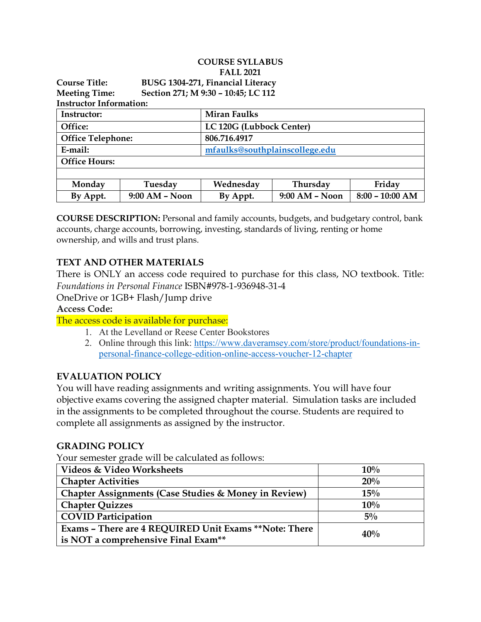|                                                             |                  | <b>COURSE SYLLABUS</b>            |                  |                   |  |  |
|-------------------------------------------------------------|------------------|-----------------------------------|------------------|-------------------|--|--|
|                                                             |                  | <b>FALL 2021</b>                  |                  |                   |  |  |
| <b>Course Title:</b>                                        |                  | BUSG 1304-271, Financial Literacy |                  |                   |  |  |
| Section 271; M 9:30 - 10:45; LC 112<br><b>Meeting Time:</b> |                  |                                   |                  |                   |  |  |
| <b>Instructor Information:</b>                              |                  |                                   |                  |                   |  |  |
| Instructor:                                                 |                  | <b>Miran Faulks</b>               |                  |                   |  |  |
| Office:                                                     |                  | LC 120G (Lubbock Center)          |                  |                   |  |  |
| <b>Office Telephone:</b>                                    |                  | 806.716.4917                      |                  |                   |  |  |
| E-mail:                                                     |                  | mfaulks@southplainscollege.edu    |                  |                   |  |  |
| <b>Office Hours:</b>                                        |                  |                                   |                  |                   |  |  |
|                                                             |                  |                                   |                  |                   |  |  |
| Monday                                                      | Tuesday          | Wednesday                         | Thursday         | Friday            |  |  |
| By Appt.                                                    | $9:00$ AM – Noon | By Appt.                          | $9:00$ AM – Noon | $8:00 - 10:00$ AM |  |  |

**COURSE DESCRIPTION:** Personal and family accounts, budgets, and budgetary control, bank accounts, charge accounts, borrowing, investing, standards of living, renting or home ownership, and wills and trust plans.

#### **TEXT AND OTHER MATERIALS**

There is ONLY an access code required to purchase for this class, NO textbook. Title: *Foundations in Personal Finance* ISBN#978-1-936948-31-4

OneDrive or 1GB+ Flash/Jump drive

**Access Code:**

The access code is available for purchase:

- 1. At the Levelland or Reese Center Bookstores
- 2. Online through this link: [https://www.daveramsey.com/store/product/foundations-in](https://www.daveramsey.com/store/product/foundations-in-personal-finance-college-edition-online-access-voucher-12-chapter)[personal-finance-college-edition-online-access-voucher-12-chapter](https://www.daveramsey.com/store/product/foundations-in-personal-finance-college-edition-online-access-voucher-12-chapter)

#### **EVALUATION POLICY**

You will have reading assignments and writing assignments. You will have four objective exams covering the assigned chapter material. Simulation tasks are included in the assignments to be completed throughout the course. Students are required to complete all assignments as assigned by the instructor.

#### **GRADING POLICY**

Your semester grade will be calculated as follows:

| Videos & Video Worksheets                             | 10%   |  |
|-------------------------------------------------------|-------|--|
| <b>Chapter Activities</b>                             | 20%   |  |
| Chapter Assignments (Case Studies & Money in Review)  | 15%   |  |
| <b>Chapter Quizzes</b>                                | 10%   |  |
| <b>COVID Participation</b>                            | $5\%$ |  |
| Exams - There are 4 REQUIRED Unit Exams **Note: There | 40%   |  |
| is NOT a comprehensive Final Exam**                   |       |  |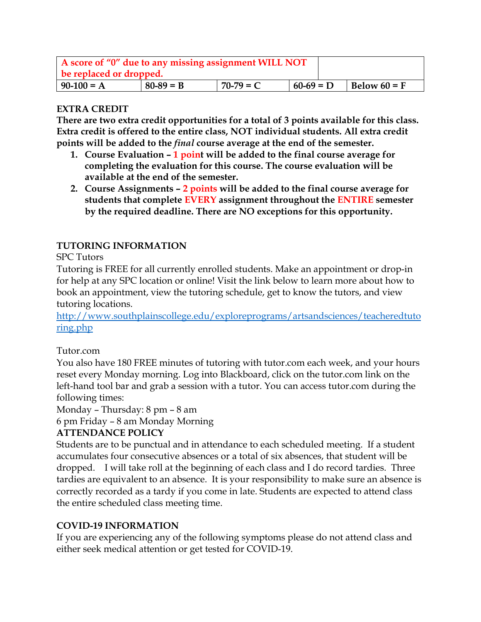| A score of "0" due to any missing assignment WILL NOT<br>be replaced or dropped. |             |             |             |  |                |
|----------------------------------------------------------------------------------|-------------|-------------|-------------|--|----------------|
| $90-100 = A$                                                                     | $80-89 = B$ | $70-79 = C$ | $60-69 = D$ |  | Below $60 = F$ |

#### **EXTRA CREDIT**

**There are two extra credit opportunities for a total of 3 points available for this class. Extra credit is offered to the entire class, NOT individual students. All extra credit points will be added to the** *final* **course average at the end of the semester.**

- **1. Course Evaluation – 1 point will be added to the final course average for completing the evaluation for this course. The course evaluation will be available at the end of the semester.**
- **2. Course Assignments – 2 points will be added to the final course average for students that complete EVERY assignment throughout the ENTIRE semester by the required deadline. There are NO exceptions for this opportunity.**

#### **TUTORING INFORMATION**

#### SPC Tutors

Tutoring is FREE for all currently enrolled students. Make an appointment or drop-in for help at any SPC location or online! Visit the link below to learn more about how to book an appointment, view the tutoring schedule, get to know the tutors, and view tutoring locations.

[http://www.southplainscollege.edu/exploreprograms/artsandsciences/teacheredtuto](http://www.southplainscollege.edu/exploreprograms/artsandsciences/teacheredtutoring.php) [ring.php](http://www.southplainscollege.edu/exploreprograms/artsandsciences/teacheredtutoring.php)

#### Tutor.com

You also have 180 FREE minutes of tutoring with tutor.com each week, and your hours reset every Monday morning. Log into Blackboard, click on the tutor.com link on the left-hand tool bar and grab a session with a tutor. You can access tutor.com during the following times:

Monday – Thursday: 8 pm – 8 am

6 pm Friday – 8 am Monday Morning

#### **ATTENDANCE POLICY**

Students are to be punctual and in attendance to each scheduled meeting. If a student accumulates four consecutive absences or a total of six absences, that student will be dropped. I will take roll at the beginning of each class and I do record tardies. Three tardies are equivalent to an absence. It is your responsibility to make sure an absence is correctly recorded as a tardy if you come in late. Students are expected to attend class the entire scheduled class meeting time.

#### **COVID-19 INFORMATION**

If you are experiencing any of the following symptoms please do not attend class and either seek medical attention or get tested for COVID-19.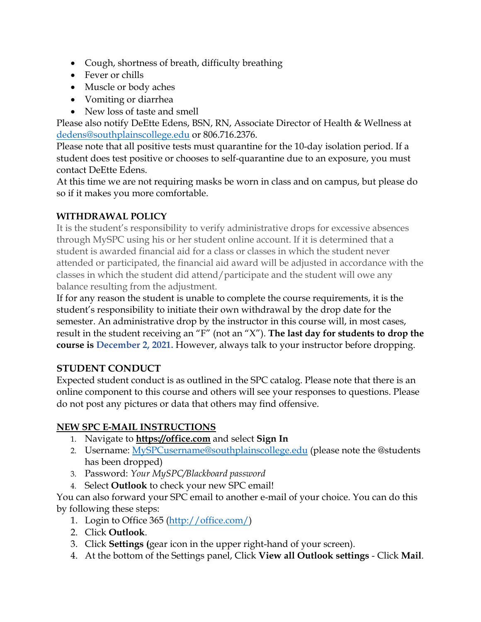- Cough, shortness of breath, difficulty breathing
- Fever or chills
- Muscle or body aches
- Vomiting or diarrhea
- New loss of taste and smell

Please also notify DeEtte Edens, BSN, RN, Associate Director of Health & Wellness at [dedens@southplainscollege.edu](mailto:dedens@southplainscollege.edu) or 806.716.2376.

Please note that all positive tests must quarantine for the 10-day isolation period. If a student does test positive or chooses to self-quarantine due to an exposure, you must contact DeEtte Edens.

At this time we are not requiring masks be worn in class and on campus, but please do so if it makes you more comfortable.

# **WITHDRAWAL POLICY**

It is the student's responsibility to verify administrative drops for excessive absences through MySPC using his or her student online account. If it is determined that a student is awarded financial aid for a class or classes in which the student never attended or participated, the financial aid award will be adjusted in accordance with the classes in which the student did attend/participate and the student will owe any balance resulting from the adjustment.

If for any reason the student is unable to complete the course requirements, it is the student's responsibility to initiate their own withdrawal by the drop date for the semester. An administrative drop by the instructor in this course will, in most cases, result in the student receiving an "F" (not an "X"). **The last day for students to drop the course is December 2, 2021.** However, always talk to your instructor before dropping.

## **STUDENT CONDUCT**

Expected student conduct is as outlined in the SPC catalog. Please note that there is an online component to this course and others will see your responses to questions. Please do not post any pictures or data that others may find offensive.

## **NEW SPC E-MAIL INSTRUCTIONS**

- 1. Navigate to **[https://office.com](https://office.com/)** and select **Sign In**
- 2. Username: [MySPCusername@southplainscollege.edu](mailto:MySPCusername@southplainscollege.edu) (please note the @students has been dropped)
- 3. Password: *Your MySPC/Blackboard password*
- 4. Select **Outlook** to check your new SPC email!

You can also forward your SPC email to another e-mail of your choice. You can do this by following these steps:

- 1. Login to Office 365 [\(http://office.com/\)](http://office.com/)
- 2. Click **Outlook**.
- 3. Click **Settings (**gear icon in the upper right-hand of your screen).
- 4. At the bottom of the Settings panel, Click **View all Outlook settings** Click **Mail**.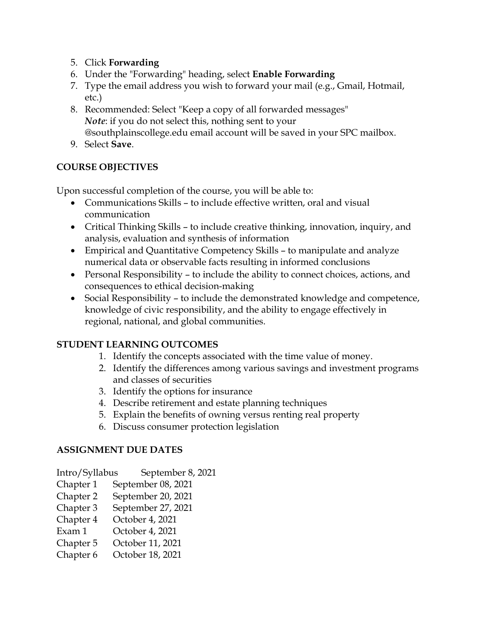- 5. Click **Forwarding**
- 6. Under the "Forwarding" heading, select **Enable Forwarding**
- 7. Type the email address you wish to forward your mail (e.g., Gmail, Hotmail, etc.)
- 8. Recommended: Select "Keep a copy of all forwarded messages" *Note*: if you do not select this, nothing sent to your @southplainscollege.edu email account will be saved in your SPC mailbox.
- 9. Select **Save**.

## **COURSE OBJECTIVES**

Upon successful completion of the course, you will be able to:

- Communications Skills to include effective written, oral and visual communication
- Critical Thinking Skills to include creative thinking, innovation, inquiry, and analysis, evaluation and synthesis of information
- Empirical and Quantitative Competency Skills to manipulate and analyze numerical data or observable facts resulting in informed conclusions
- Personal Responsibility to include the ability to connect choices, actions, and consequences to ethical decision-making
- Social Responsibility to include the demonstrated knowledge and competence, knowledge of civic responsibility, and the ability to engage effectively in regional, national, and global communities.

# **STUDENT LEARNING OUTCOMES**

- 1. Identify the concepts associated with the time value of money.
- 2. Identify the differences among various savings and investment programs and classes of securities
- 3. Identify the options for insurance
- 4. Describe retirement and estate planning techniques
- 5. Explain the benefits of owning versus renting real property
- 6. Discuss consumer protection legislation

## **ASSIGNMENT DUE DATES**

Intro/Syllabus September 8, 2021

- Chapter 1 September 08, 2021
- Chapter 2 September 20, 2021
- Chapter 3 September 27, 2021
- Chapter 4 October 4, 2021
- Exam 1 October 4, 2021
- Chapter 5 October 11, 2021
- Chapter 6 October 18, 2021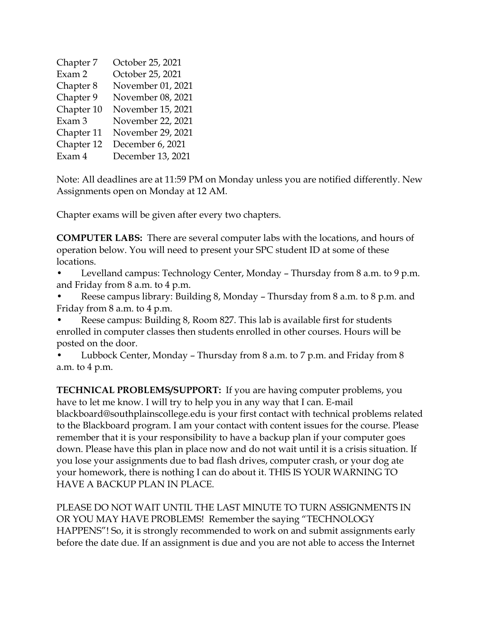| Chapter 7  | October 25, 2021  |  |  |  |
|------------|-------------------|--|--|--|
|            |                   |  |  |  |
| Exam 2     | October 25, 2021  |  |  |  |
| Chapter 8  | November 01, 2021 |  |  |  |
| Chapter 9  | November 08, 2021 |  |  |  |
| Chapter 10 | November 15, 2021 |  |  |  |
| Exam 3     | November 22, 2021 |  |  |  |
| Chapter 11 | November 29, 2021 |  |  |  |
| Chapter 12 | December 6, 2021  |  |  |  |
| Exam 4     | December 13, 2021 |  |  |  |

Note: All deadlines are at 11:59 PM on Monday unless you are notified differently. New Assignments open on Monday at 12 AM.

Chapter exams will be given after every two chapters.

**COMPUTER LABS:** There are several computer labs with the locations, and hours of operation below. You will need to present your SPC student ID at some of these locations.

• Levelland campus: Technology Center, Monday – Thursday from 8 a.m. to 9 p.m. and Friday from 8 a.m. to 4 p.m.

• Reese campus library: Building 8, Monday – Thursday from 8 a.m. to 8 p.m. and Friday from 8 a.m. to 4 p.m.

• Reese campus: Building 8, Room 827. This lab is available first for students enrolled in computer classes then students enrolled in other courses. Hours will be posted on the door.

• Lubbock Center, Monday – Thursday from 8 a.m. to 7 p.m. and Friday from 8 a.m. to 4 p.m.

**TECHNICAL PROBLEMS/SUPPORT:** If you are having computer problems, you have to let me know. I will try to help you in any way that I can. E-mail blackboard@southplainscollege.edu is your first contact with technical problems related to the Blackboard program. I am your contact with content issues for the course. Please remember that it is your responsibility to have a backup plan if your computer goes down. Please have this plan in place now and do not wait until it is a crisis situation. If you lose your assignments due to bad flash drives, computer crash, or your dog ate your homework, there is nothing I can do about it. THIS IS YOUR WARNING TO HAVE A BACKUP PLAN IN PLACE.

PLEASE DO NOT WAIT UNTIL THE LAST MINUTE TO TURN ASSIGNMENTS IN OR YOU MAY HAVE PROBLEMS! Remember the saying "TECHNOLOGY HAPPENS"! So, it is strongly recommended to work on and submit assignments early before the date due. If an assignment is due and you are not able to access the Internet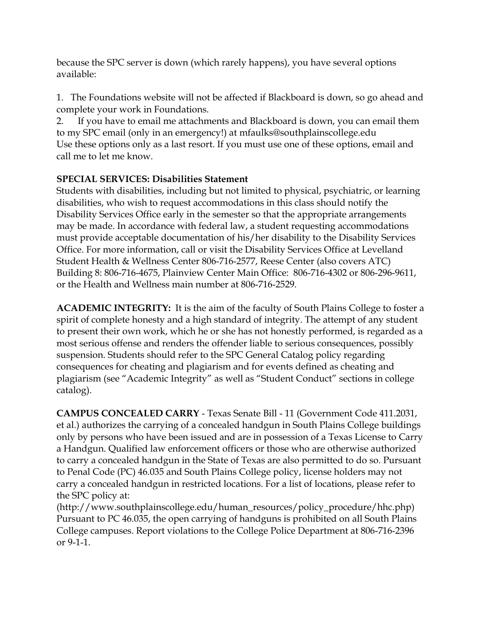because the SPC server is down (which rarely happens), you have several options available:

1. The Foundations website will not be affected if Blackboard is down, so go ahead and complete your work in Foundations.

2. If you have to email me attachments and Blackboard is down, you can email them to my SPC email (only in an emergency!) at mfaulks@southplainscollege.edu Use these options only as a last resort. If you must use one of these options, email and call me to let me know.

## **SPECIAL SERVICES: Disabilities Statement**

Students with disabilities, including but not limited to physical, psychiatric, or learning disabilities, who wish to request accommodations in this class should notify the Disability Services Office early in the semester so that the appropriate arrangements may be made. In accordance with federal law, a student requesting accommodations must provide acceptable documentation of his/her disability to the Disability Services Office. For more information, call or visit the Disability Services Office at Levelland Student Health & Wellness Center 806-716-2577, Reese Center (also covers ATC) Building 8: 806-716-4675, Plainview Center Main Office: 806-716-4302 or 806-296-9611, or the Health and Wellness main number at 806-716-2529.

**ACADEMIC INTEGRITY:** It is the aim of the faculty of South Plains College to foster a spirit of complete honesty and a high standard of integrity. The attempt of any student to present their own work, which he or she has not honestly performed, is regarded as a most serious offense and renders the offender liable to serious consequences, possibly suspension. Students should refer to the SPC General Catalog policy regarding consequences for cheating and plagiarism and for events defined as cheating and plagiarism (see "Academic Integrity" as well as "Student Conduct" sections in college catalog).

**CAMPUS CONCEALED CARRY** - Texas Senate Bill - 11 (Government Code 411.2031, et al.) authorizes the carrying of a concealed handgun in South Plains College buildings only by persons who have been issued and are in possession of a Texas License to Carry a Handgun. Qualified law enforcement officers or those who are otherwise authorized to carry a concealed handgun in the State of Texas are also permitted to do so. Pursuant to Penal Code (PC) 46.035 and South Plains College policy, license holders may not carry a concealed handgun in restricted locations. For a list of locations, please refer to the SPC policy at:

(http://www.southplainscollege.edu/human\_resources/policy\_procedure/hhc.php) Pursuant to PC 46.035, the open carrying of handguns is prohibited on all South Plains College campuses. Report violations to the College Police Department at 806-716-2396 or 9-1-1.